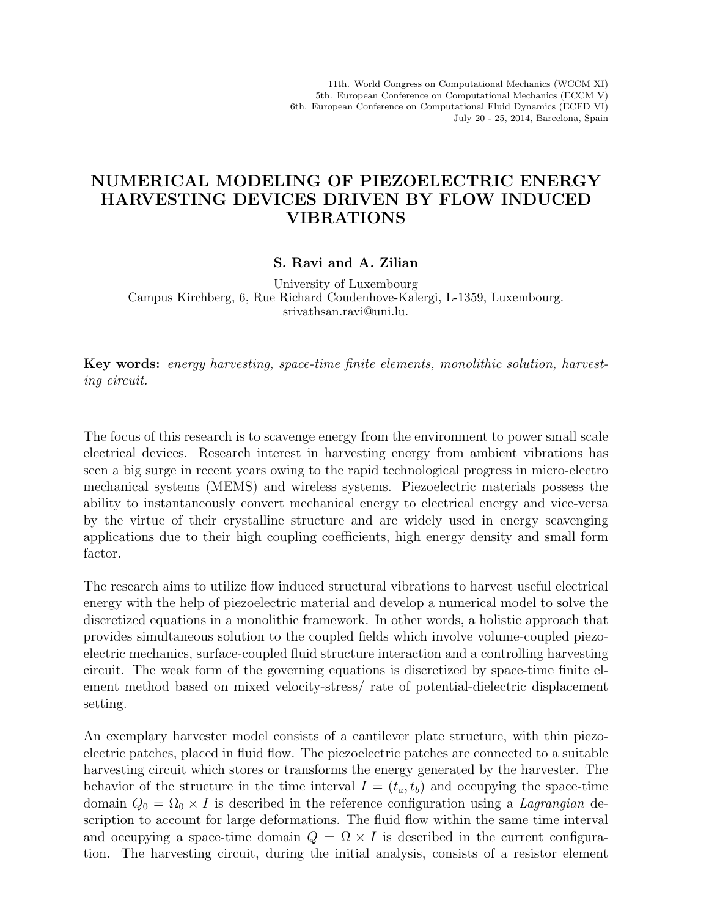## NUMERICAL MODELING OF PIEZOELECTRIC ENERGY HARVESTING DEVICES DRIVEN BY FLOW INDUCED VIBRATIONS

## S. Ravi and A. Zilian

University of Luxembourg Campus Kirchberg, 6, Rue Richard Coudenhove-Kalergi, L-1359, Luxembourg. srivathsan.ravi@uni.lu.

Key words: energy harvesting, space-time finite elements, monolithic solution, harvesting circuit.

The focus of this research is to scavenge energy from the environment to power small scale electrical devices. Research interest in harvesting energy from ambient vibrations has seen a big surge in recent years owing to the rapid technological progress in micro-electro mechanical systems (MEMS) and wireless systems. Piezoelectric materials possess the ability to instantaneously convert mechanical energy to electrical energy and vice-versa by the virtue of their crystalline structure and are widely used in energy scavenging applications due to their high coupling coefficients, high energy density and small form factor.

The research aims to utilize flow induced structural vibrations to harvest useful electrical energy with the help of piezoelectric material and develop a numerical model to solve the discretized equations in a monolithic framework. In other words, a holistic approach that provides simultaneous solution to the coupled fields which involve volume-coupled piezoelectric mechanics, surface-coupled fluid structure interaction and a controlling harvesting circuit. The weak form of the governing equations is discretized by space-time finite element method based on mixed velocity-stress/ rate of potential-dielectric displacement setting.

An exemplary harvester model consists of a cantilever plate structure, with thin piezoelectric patches, placed in fluid flow. The piezoelectric patches are connected to a suitable harvesting circuit which stores or transforms the energy generated by the harvester. The behavior of the structure in the time interval  $I = (t_a, t_b)$  and occupying the space-time domain  $Q_0 = \Omega_0 \times I$  is described in the reference configuration using a Lagrangian description to account for large deformations. The fluid flow within the same time interval and occupying a space-time domain  $Q = \Omega \times I$  is described in the current configuration. The harvesting circuit, during the initial analysis, consists of a resistor element